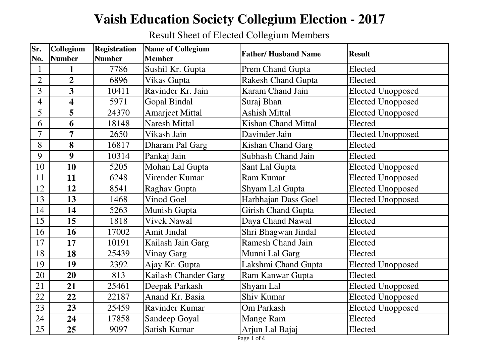## **Vaish Education Society Collegium Election - 2017**

Result Sheet of Elected Collegium Members

| Sr.             | Collegium               | <b>Registration</b> | <b>Name of Collegium</b> | <b>Father/Husband Name</b> | <b>Result</b>            |
|-----------------|-------------------------|---------------------|--------------------------|----------------------------|--------------------------|
| No.             | <b>Number</b>           | <b>Number</b>       | <b>Member</b>            |                            |                          |
| $\mathbf{1}$    | 1                       | 7786                | Sushil Kr. Gupta         | Prem Chand Gupta           | Elected                  |
| $\overline{2}$  | $\overline{2}$          | 6896                | Vikas Gupta              | <b>Rakesh Chand Gupta</b>  | Elected                  |
| $\overline{3}$  | $\overline{\mathbf{3}}$ | 10411               | Ravinder Kr. Jain        | <b>Karam Chand Jain</b>    | <b>Elected Unopposed</b> |
| $\overline{4}$  | $\overline{\mathbf{4}}$ | 5971                | <b>Gopal Bindal</b>      | Suraj Bhan                 | <b>Elected Unopposed</b> |
| $5\overline{)}$ | 5                       | 24370               | <b>Amarjeet Mittal</b>   | <b>Ashish Mittal</b>       | <b>Elected Unopposed</b> |
| 6               | 6                       | 18148               | <b>Naresh Mittal</b>     | <b>Kishan Chand Mittal</b> | Elected                  |
| $\overline{7}$  | $\overline{7}$          | 2650                | Vikash Jain              | Davinder Jain              | <b>Elected Unopposed</b> |
| 8               | 8                       | 16817               | Dharam Pal Garg          | Kishan Chand Garg          | Elected                  |
| 9               | 9                       | 10314               | Pankaj Jain              | Subhash Chand Jain         | Elected                  |
| 10              | 10                      | 5205                | Mohan Lal Gupta          | Sant Lal Gupta             | <b>Elected Unopposed</b> |
| 11              | 11                      | 6248                | Virender Kumar           | Ram Kumar                  | <b>Elected Unopposed</b> |
| 12              | 12                      | 8541                | Raghav Gupta             | Shyam Lal Gupta            | <b>Elected Unopposed</b> |
| 13              | 13                      | 1468                | <b>Vinod Goel</b>        | Harbhajan Dass Goel        | <b>Elected Unopposed</b> |
| 14              | 14                      | 5263                | Munish Gupta             | <b>Girish Chand Gupta</b>  | Elected                  |
| 15              | 15                      | 1818                | <b>Vivek Nawal</b>       | Daya Chand Nawal           | Elected                  |
| 16              | 16                      | 17002               | <b>Amit Jindal</b>       | Shri Bhagwan Jindal        | Elected                  |
| 17              | 17                      | 10191               | Kailash Jain Garg        | <b>Ramesh Chand Jain</b>   | Elected                  |
| 18              | 18                      | 25439               | <b>Vinay Garg</b>        | Munni Lal Garg             | Elected                  |
| 19              | 19                      | 2392                | Ajay Kr. Gupta           | Lakshmi Chand Gupta        | <b>Elected Unopposed</b> |
| 20              | 20                      | 813                 | Kailash Chander Garg     | Ram Kanwar Gupta           | Elected                  |
| 21              | 21                      | 25461               | Deepak Parkash           | Shyam Lal                  | <b>Elected Unopposed</b> |
| 22              | 22                      | 22187               | Anand Kr. Basia          | Shiv Kumar                 | <b>Elected Unopposed</b> |
| 23              | 23                      | 25459               | <b>Ravinder Kumar</b>    | Om Parkash                 | <b>Elected Unopposed</b> |
| 24              | 24                      | 17858               | Sandeep Goyal            | <b>Mange Ram</b>           | Elected                  |
| 25              | 25                      | 9097                | Satish Kumar             | Arjun Lal Bajaj            | Elected                  |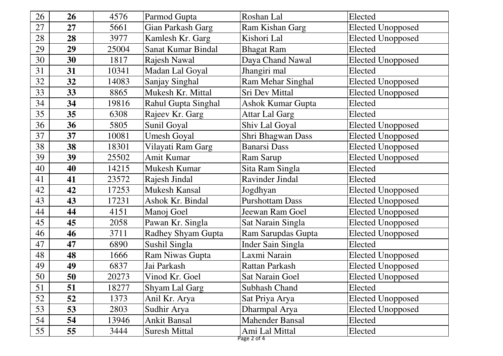| 26 | 26 | 4576  | Parmod Gupta              | Roshan Lal                    | Elected                  |
|----|----|-------|---------------------------|-------------------------------|--------------------------|
| 27 | 27 | 5661  | Gian Parkash Garg         | Ram Kishan Garg               | <b>Elected Unopposed</b> |
| 28 | 28 | 3977  | Kamlesh Kr. Garg          | Kishori Lal                   | <b>Elected Unopposed</b> |
| 29 | 29 | 25004 | Sanat Kumar Bindal        | <b>Bhagat Ram</b>             | Elected                  |
| 30 | 30 | 1817  | Rajesh Nawal              | Daya Chand Nawal              | <b>Elected Unopposed</b> |
| 31 | 31 | 10341 | Madan Lal Goyal           | Jhangiri mal                  | Elected                  |
| 32 | 32 | 14083 | Sanjay Singhal            | Ram Mehar Singhal             | <b>Elected Unopposed</b> |
| 33 | 33 | 8865  | Mukesh Kr. Mittal         | <b>Sri Dev Mittal</b>         | <b>Elected Unopposed</b> |
| 34 | 34 | 19816 | Rahul Gupta Singhal       | <b>Ashok Kumar Gupta</b>      | Elected                  |
| 35 | 35 | 6308  | Rajeev Kr. Garg           | <b>Attar Lal Garg</b>         | Elected                  |
| 36 | 36 | 5805  | Sunil Goyal               | Shiv Lal Goyal                | <b>Elected Unopposed</b> |
| 37 | 37 | 10081 | <b>Umesh Goyal</b>        | Shri Bhagwan Dass             | <b>Elected Unopposed</b> |
| 38 | 38 | 18301 | Vilayati Ram Garg         | <b>Banarsi Dass</b>           | <b>Elected Unopposed</b> |
| 39 | 39 | 25502 | Amit Kumar                | Ram Sarup                     | <b>Elected Unopposed</b> |
| 40 | 40 | 14215 | Mukesh Kumar              | Sita Ram Singla               | Elected                  |
| 41 | 41 | 23572 | Rajesh Jindal             | <b>Ravinder Jindal</b>        | Elected                  |
| 42 | 42 | 17253 | <b>Mukesh Kansal</b>      | Jogdhyan                      | <b>Elected Unopposed</b> |
| 43 | 43 | 17231 | Ashok Kr. Bindal          | <b>Purshottam Dass</b>        | <b>Elected Unopposed</b> |
| 44 | 44 | 4151  | Manoj Goel                | Jeewan Ram Goel               | <b>Elected Unopposed</b> |
| 45 | 45 | 2058  | Pawan Kr. Singla          | Sat Narain Singla             | <b>Elected Unopposed</b> |
| 46 | 46 | 3711  | <b>Radhey Shyam Gupta</b> | Ram Sarupdas Gupta            | <b>Elected Unopposed</b> |
| 47 | 47 | 6890  | Sushil Singla             | Inder Sain Singla             | Elected                  |
| 48 | 48 | 1666  | <b>Ram Niwas Gupta</b>    | Laxmi Narain                  | <b>Elected Unopposed</b> |
| 49 | 49 | 6837  | Jai Parkash               | <b>Rattan Parkash</b>         | Elected Unopposed        |
| 50 | 50 | 20273 | Vinod Kr. Goel            | Sat Narain Goel               | Elected Unopposed        |
| 51 | 51 | 18277 | Shyam Lal Garg            | Subhash Chand                 | Elected                  |
| 52 | 52 | 1373  | Anil Kr. Arya             | Sat Priya Arya                | <b>Elected Unopposed</b> |
| 53 | 53 | 2803  | Sudhir Arya               | Dharmpal Arya                 | <b>Elected Unopposed</b> |
| 54 | 54 | 13946 | <b>Ankit Bansal</b>       | <b>Mahender Bansal</b>        | Elected                  |
| 55 | 55 | 3444  | <b>Suresh Mittal</b>      | Ami Lal Mittal<br>Page 2 of 4 | Elected                  |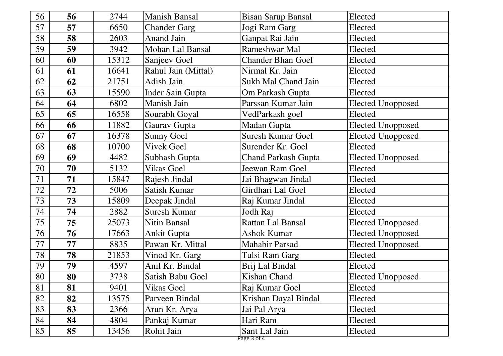| 56 | 56 | 2744  | <b>Manish Bansal</b> | <b>Bisan Sarup Bansal</b>    | Elected                  |
|----|----|-------|----------------------|------------------------------|--------------------------|
| 57 | 57 | 6650  | <b>Chander Garg</b>  | Jogi Ram Garg                | Elected                  |
| 58 | 58 | 2603  | <b>Anand Jain</b>    | Ganpat Rai Jain              | Elected                  |
| 59 | 59 | 3942  | Mohan Lal Bansal     | Rameshwar Mal                | Elected                  |
| 60 | 60 | 15312 | Sanjeev Goel         | <b>Chander Bhan Goel</b>     | Elected                  |
| 61 | 61 | 16641 | Rahul Jain (Mittal)  | Nirmal Kr. Jain              | Elected                  |
| 62 | 62 | 21751 | Adish Jain           | Sukh Mal Chand Jain          | Elected                  |
| 63 | 63 | 15590 | Inder Sain Gupta     | <b>Om Parkash Gupta</b>      | Elected                  |
| 64 | 64 | 6802  | Manish Jain          | Parssan Kumar Jain           | <b>Elected Unopposed</b> |
| 65 | 65 | 16558 | Sourabh Goyal        | VedParkash goel              | Elected                  |
| 66 | 66 | 11882 | Gaurav Gupta         | Madan Gupta                  | <b>Elected Unopposed</b> |
| 67 | 67 | 16378 | <b>Sunny Goel</b>    | <b>Suresh Kumar Goel</b>     | <b>Elected Unopposed</b> |
| 68 | 68 | 10700 | <b>Vivek Goel</b>    | Surender Kr. Goel            | Elected                  |
| 69 | 69 | 4482  | Subhash Gupta        | <b>Chand Parkash Gupta</b>   | <b>Elected Unopposed</b> |
| 70 | 70 | 5132  | <b>Vikas Goel</b>    | Jeewan Ram Goel              | Elected                  |
| 71 | 71 | 15847 | Rajesh Jindal        | Jai Bhagwan Jindal           | Elected                  |
| 72 | 72 | 5006  | Satish Kumar         | Girdhari Lal Goel            | Elected                  |
| 73 | 73 | 15809 | Deepak Jindal        | Raj Kumar Jindal             | Elected                  |
| 74 | 74 | 2882  | <b>Suresh Kumar</b>  | Jodh Raj                     | Elected                  |
| 75 | 75 | 25073 | <b>Nitin Bansal</b>  | Rattan Lal Bansal            | <b>Elected Unopposed</b> |
| 76 | 76 | 17663 | <b>Ankit Gupta</b>   | <b>Ashok Kumar</b>           | <b>Elected Unopposed</b> |
| 77 | 77 | 8835  | Pawan Kr. Mittal     | <b>Mahabir Parsad</b>        | <b>Elected Unopposed</b> |
| 78 | 78 | 21853 | Vinod Kr. Garg       | Tulsi Ram Garg               | Elected                  |
| 79 | 79 | 4597  | Anil Kr. Bindal      | Brij Lal Bindal              | Elected                  |
| 80 | 80 | 3738  | Satish Babu Goel     | <b>Kishan Chand</b>          | Elected Unopposed        |
| 81 | 81 | 9401  | <b>Vikas Goel</b>    | Raj Kumar Goel               | Elected                  |
| 82 | 82 | 13575 | Parveen Bindal       | Krishan Dayal Bindal         | Elected                  |
| 83 | 83 | 2366  | Arun Kr. Arya        | Jai Pal Arya                 | Elected                  |
| 84 | 84 | 4804  | Pankaj Kumar         | Hari Ram                     | Elected                  |
| 85 | 85 | 13456 | Rohit Jain           | Sant Lal Jain<br>Page 3 of 4 | Elected                  |